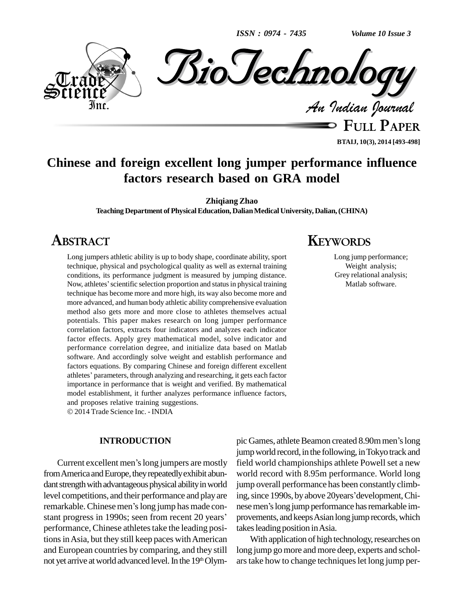*ISSN : 0974 - 7435*

*Volume 10 Issue 3*



**FULL PAPER BTAIJ, 10(3), 2014 [493-498]**

# **Chinese and foreign excellent long jumper performance influence factors research based on GRA model**

**Zhiqiang Zhao**

**Teaching Department ofPhysicalEducation, DalianMedicalUniversity, Dalian,(CHINA)**

# **ABSTRACT**

Long jumpers athletic ability is up to body shape, coordinate ability, sport technique, physical and psychological quality as well as external training<br>conditions, its performance judgment is measured by jumping distance.<br>Now, athletes' scientific selection proportion and status in physical trainin conditions, its performance judgment is measured by jumping distance. technique has become more and more high, its way also become more and more advanced, and human body athletic ability comprehensive evaluation method also gets more and more close to athletes themselves actual potentials. This paper makes research on long jumper performance correlation factors, extracts four indicators and analyzes each indicator factor effects. Apply grey mathematical model, solve indicator and performance correlation degree, and initialize data based on Matlab software. And accordingly solve weight and establish performance and factors equations. By comparing Chinese and foreign different excellent software. And accordingly solve weight and establish performance and<br>factors equations. By comparing Chinese and foreign different excellent<br>athletes' parameters, through analyzing and researching, it gets each factor importance in performance that is weight and verified. By mathematical model establishment, it further analyzes performance influence factors, and proposes relative training suggestions. 2014 Trade Science Inc. - INDIA

### **INTRODUCTION**

Current excellent men's long jumpers are mostly from America and Europe, they repeatedly exhibit abundant strength with advantageous physical ability in world level competitions, and their performance and play are ing, si dant strength with advantageous physical ability in world<br>level competitions, and their performance and play are ing,<br>remarkable. Chinese men's long jump has made conlevel competitions, and their performance and play are ing,<br>remarkable. Chinese men's long jump has made con-<br>stant progress in 1990s; seen from recent 20 years' prov performance, Chinese athletes take the leading positions in Asia, but they still keep paces with American and European countries by comparing, and they still not yet arrive at world advanced level. In the 19<sup>th</sup> Olym-

# **KEYWORDS**

Long jump performance; Weight analysis; Grey relational analysis; Matlab software.

pic Games, athlete Beamon created 8.90m men's long jump world record, in the following, in Tokyo track and field world championships athlete Powell set a new world record with 8.95m performance. World long jump overall performance has been constantly climbworld record with 8.95m performance. World long<br>jump overall performance has been constantly climb-<br>ing, since 1990s, by above 20years'development, Chijump overall performance has been constantly climbing, since 1990s, by above 20years' development, Chinese men's long jump performance has remarkable improvements, and keeps Asian long jump records, which takes leading position in Asia.

With application of high technology, researches on long jump gomore and more deep, experts and schol ars take how to change techniques let long jump per-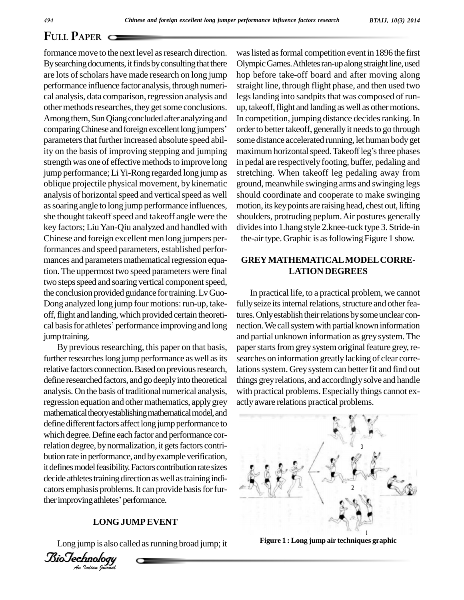formance move to the next level as research direction. By searching documents, it finds by consulting that there are lots of scholars have made research on long jump performance influence factor analysis, through numerical analysis, data comparison, regression analysis and other methods researches, they get some conclusions. Among them, Sun Qiang concluded after analyzing and In com other methods researches, they get some conclusions. up,<br>Among them, Sun Qiang concluded after analyzing and In c<br>comparing Chinese and foreign excellent long jumpers' order parameters that further increased absolute speed abilstrength was one of effective methods to improve long jump performance; Li Yi-Rong regarded long jump as oblique projectile physical movement, by kinematic analysis of horizontal speed and vertical speed as well assoaring angle to long jump performance influences, she thought takeoff speed and takeoff angle were the key factors; LiuYan-Qiu analyzed and handled with Chinese and foreign excellent men long jumpers performances and speed parameters, established perfor mances and parameters mathematical regression equation. The uppermost two speed parameters were final two steps speed and soaring vertical component speed, the conclusion provided guidance for training. Lv Guo-Dong analyzed long jump four motions: run-up, takeoff, flight and landing, which provided certain theoreti- ture Dong analyzed long jump four motions: run-up, take-<br>off, flight and landing, which provided certain theoreti-<br>cal basis for athletes' performance improving and long nection jump training.

It defines model feasibility. Factors contribution rate sizes<br>decide athletes training direction as well as training indi-<br>cators emphasis problems. It can provide basis for fur-<br>ther improving athletes' performance. ther improving athletes' performance. By previous researching, this paper on that basis, further researches long jump performance as well as its relative factors connection. Based on previous research, define researched factors, and go deeply into theoretical analysis. On the basis of traditional numerical analysis, regression equation and other mathematics, apply grey mathematical theory establishing mathematical model, and define different factors affect long jump performance to which degree.Define each factor and performance correlation degree, by normalization, it gets factors contribution rate in performance, and by example verification, it defines model feasibility. Factors contribution rate sizes cators emphasis problems. It can provide basis for fur-

## **LONGJUMPEVENT**

Long jump is also called as running broad jump; it

*Indian Journal*

ity on the basis of improving stepping and jumping maximum horizontal speed. Take of leg's three phases waslisted asformal competition event in 1896 the first Olympic Games. Athletes ran-up along straight line, used hop before take-off board and after moving along straight line, through flight phase, and then used two legs landing into sandpits that was composed of runup, takeoff, flight and landing as well as other motions. In competition, jumping distance decides ranking. In order to better takeoff, generally it needs to go through some distance accelerated running, let human bodyget order to better takeoff, generally it needs to go through<br>some distance accelerated running, let human body get<br>maximum horizontal speed. Takeoff leg's three phases in pedal are respectively footing, buffer, pedaling and stretching. When takeoff leg pedaling away from ground, meanwhile swinging arms and swinging legs should coordinate and cooperate to make swinging motion, its keypoints are raising head, chest out, lifting shoulders, protruding peplum. Air postures generally dividesinto 1.hang style 2.knee-tuck type 3. Stride-in the-airtype.Graphic is asfollowingFigure 1 show.

## **GREYMATHEMATICALMODELCORRE- LATION DEGREES**

In practical life, to a practical problem, we cannot fully seize its internal relations, structure and other features. Only establish their relations by some unclear connection. We call system with partial known information and partial unknown information as greysystem. The paper starts from grey system original feature grey, researches on information greatly lacking of clear correlations system. Grey system can better fit and find out things greyrelations, and accordinglysolve and handle with practical problems. Especially things cannot ex actlyaware relations practical problems.



**Figure 1 : Long jump air techniques graphic**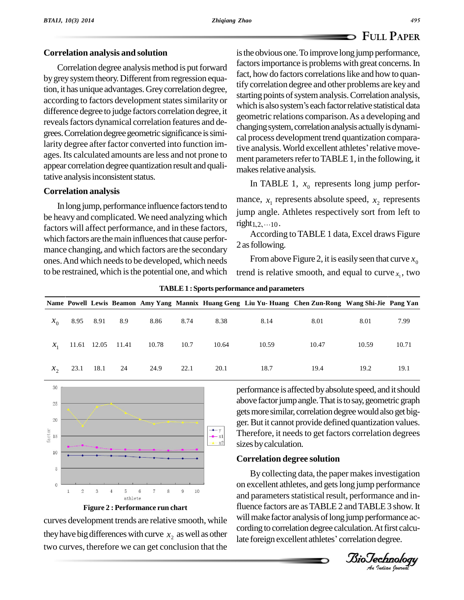## **Correlation analysis and solution**

Correlation degree analysis method is put forward by grey system theory. Different from regression equation, it has unique advantages.Greycorrelation degree, difference degree to judge factors correlation degree, it reveals factors dynamical correlation features and degrees. Correlation degree geometric significance is simiages. Its calculated amounts are less and not prone to appear correlation degree quantization result and qualitative analysis inconsistent status.

## **Correlation analysis**

In long jump, performance influence factors tend to be heavy and complicated. We need analyzing which  $\frac{J_{\text{unip}}}{J_{\text{unip}}}\text{angle.}$ factors will affect performance, and in these factors, which factors are the main influences that cause performance changing, and which factors are the secondary ones. And which needs to be developed, which needs to be restrained, which is the potential one, and which

according to factors development states similarity or<br>which is also system's each factor relative statistical data larity degree after factor converted into function im-<br>tive analysis. World excellent athletes' relative moveis the obvious one. To improve long jump performance, factors importance is problems with great concerns. In fact, how do factors correlations like and how to quantify correlation degree and other problems are key and<br>starting points of system analysis. Correlation analysis,<br>which is also system's each factor relative statistical data starting points of system analysis. Correlation analysis, geometric relations comparison.As a developing and changing system, correlation analysis actually is dynami-<br>cal process development trend quantization compara-<br>tive analysis. World excellent athletes ' relative movecal process development trend quantization comparament parameters refer to TABLE 1, in the following, it makes relative analysis.

In TABLE 1,  $x_0$  represents long jump perfor-

mance,  $x_1$  represents absolute speed,  $x_2$  represents jump angle. Athletes respectively sort from left to right<sub>1,2</sub>,...<sub>10</sub>.

According to TABLE 1 data, Excel draws Figure 2 as following.

From above Figure 2, it is easily seen that curve  $x_0$ trend is relative smooth, and equal to curve  $x_1$ , two

|                 |           |      |                   |       |      |       |       | Name Powell Lewis Beamon Amy Yang Mannix Huang Geng Liu Yu-Huang Chen Zun-Rong Wang Shi-Jie Pang Yan |       |       |
|-----------------|-----------|------|-------------------|-------|------|-------|-------|------------------------------------------------------------------------------------------------------|-------|-------|
| $x_{0}$         | 8.95 8.91 |      | 8.9               | 8.86  | 8.74 | 8.38  | 8.14  | 8.01                                                                                                 | 8.01  | 7.99  |
| $\mathcal{X}_1$ |           |      | 11.61 12.05 11.41 | 10.78 | 10.7 | 10.64 | 10.59 | 10.47                                                                                                | 10.59 | 10.71 |
| $\chi_{\gamma}$ | 23.1      | 18.1 | 24                | 24.9  | 22.1 | 20.1  | 18.7  | 19.4                                                                                                 | 19.2  | 19.1  |







curves development trends are relative smooth, while they have big differences with curve  $x_2$  as well as other two curves, therefore we can get conclusion that the performance is affected by absolute speed, and it should above factor jump angle. That is to say, geometric graph gets more similar, correlation degree would also get bigger.But it cannot provide defined quantization values. Therefore, it needs to get factors correlation degrees sizes bycalculation.

## **Correlation degree solution**

By collecting data, the paper makes investigation fluence factors are as TABLE 2 and TABLE 3 show. It Iate foreign excellent athletes' correlation degree.<br> *BioTechnology*<br> *An Indian Journal* on excellent athletes, and getslong jump performance and parameters statistical result, performance and inwill make factor analysis of long jump performance according to correlation degree calculation.Atfirst calcuwill make factor analysis of long jump performance<br>cording to correlation degree calculation. At first cal<br>late foreign excellent athletes' correlation degree.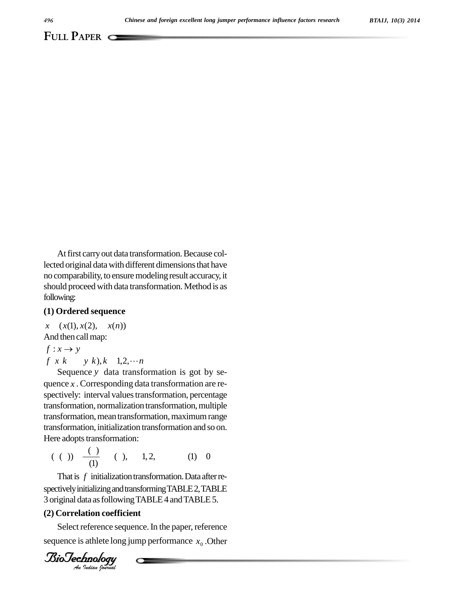At first carry out data transformation. Because collected original data with different dimensions that have no comparability, to ensure modeling result accuracy, it should proceed with data transformation. Method is as following:

## **(1) Ordered sequence**

 $x \quad (x(1), x(2), \quad x(n))$ <br>And then call map:<br> $f: x \rightarrow y$ 

And then call map:

$$
f: x \to y
$$
  
f x k y k), k 1,2,... n

Sequence *y* data transformation is got by se quence *x* . Corresponding data transformation are re spectively: interval values transformation, percentage transformation, normalization transformation, multiple transformation, mean transformation, maximum range transformation, initialization transformation and so on. Here adopts transformation:

$$
(()
$$
)  $\frac{(-)}{(1)}$   $()$ , 1, 2, (1) 0

That is  $f$  initialization transformation. Data after re-*An*3 original data asfollowingTABLE4andTABLE5. spectively initializing and transforming TABLE 2, TABLE

## **(2) Correlation coefficient**

*Indian coefficity<br>Indian Coefficity<br>Indian Journal* Select reference sequence. In the paper, reference sequence is athlete long jump performance  $x_0$ .Other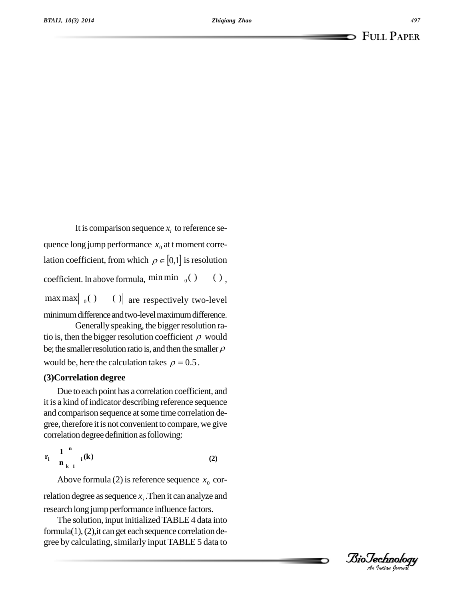It is comparison sequence  $x_i$  to reference sequence long jump performance  $x_0$  at t moment correlation coefficient, from which  $\rho \in [0,1]$  is resolution coefficient. In above formula,  $\min \min_{0} ( )$  (), max max  $|_0()$  $()$  are respectively two-level

minimum difference and two-level maximum difference. Generally speaking, the bigger resolution ra-

tio is, then the bigger resolution coefficient  $\rho$  would be; the smaller resolution ratio is, and then the smaller  $\rho$ tio is, then the bigger resolution coefficient  $\rho$  would be, here the calculation takes  $\rho = 0.5$ .

## **(3)Correlation degree**

Due to each point has a correlation coefficient, and it is a kind of indicator describing reference sequence and comparison sequence at some time correlation degree, therefore itis not convenient to compare, we give correlation degree definition as following:

$$
r_{i} = \frac{1}{n} \sum_{k=1}^{n} i(k)
$$
 (2)

Above formula (2) is reference sequence  $x_0$  correlation degree as sequence  $x_i$ . Then it can analyze and research long jump performance influence factors.

The solution, input initialized TABLE 4 data into formula $(1)$ ,  $(2)$ , it can get each sequence correlation degree by calculating, similarly input TABLE 5 data to

*Indian Journal*